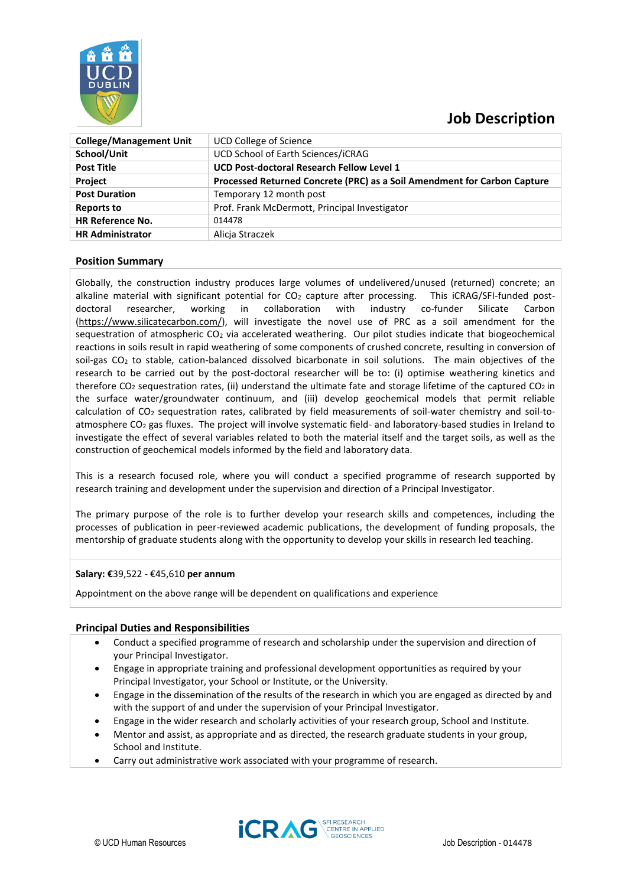

# **Job Description**

| <b>College/Management Unit</b> | <b>UCD College of Science</b>                                            |
|--------------------------------|--------------------------------------------------------------------------|
| School/Unit                    | UCD School of Earth Sciences/iCRAG                                       |
| <b>Post Title</b>              | <b>UCD Post-doctoral Research Fellow Level 1</b>                         |
| <b>Project</b>                 | Processed Returned Concrete (PRC) as a Soil Amendment for Carbon Capture |
| <b>Post Duration</b>           | Temporary 12 month post                                                  |
| <b>Reports to</b>              | Prof. Frank McDermott, Principal Investigator                            |
| <b>HR Reference No.</b>        | 014478                                                                   |
| <b>HR Administrator</b>        | Alicja Straczek                                                          |
|                                |                                                                          |

## **Position Summary**

Globally, the construction industry produces large volumes of undelivered/unused (returned) concrete; an alkaline material with significant potential for  $CO<sub>2</sub>$  capture after processing. This iCRAG/SFI-funded postdoctoral researcher, working in collaboration with industry co-funder Silicate Carbon [\(https://www.silicatecarbon.com/\)](https://www.silicatecarbon.com/), will investigate the novel use of PRC as a soil amendment for the sequestration of atmospheric  $CO<sub>2</sub>$  via accelerated weathering. Our pilot studies indicate that biogeochemical reactions in soils result in rapid weathering of some components of crushed concrete, resulting in conversion of soil-gas CO<sub>2</sub> to stable, cation-balanced dissolved bicarbonate in soil solutions. The main objectives of the research to be carried out by the post-doctoral researcher will be to: (i) optimise weathering kinetics and therefore  $CO_2$  sequestration rates, (ii) understand the ultimate fate and storage lifetime of the captured  $CO_2$  in the surface water/groundwater continuum, and (iii) develop geochemical models that permit reliable calculation of CO<sup>2</sup> sequestration rates, calibrated by field measurements of soil-water chemistry and soil-toatmosphere CO<sup>2</sup> gas fluxes. The project will involve systematic field- and laboratory-based studies in Ireland to investigate the effect of several variables related to both the material itself and the target soils, as well as the construction of geochemical models informed by the field and laboratory data.

This is a research focused role, where you will conduct a specified programme of research supported by research training and development under the supervision and direction of a Principal Investigator.

The primary purpose of the role is to further develop your research skills and competences, including the processes of publication in peer-reviewed academic publications, the development of funding proposals, the mentorship of graduate students along with the opportunity to develop your skills in research led teaching.

#### **Salary: €**39,522 - €45,610 **per annum**

Appointment on the above range will be dependent on qualifications and experience

#### **Principal Duties and Responsibilities**

- Conduct a specified programme of research and scholarship under the supervision and direction of your Principal Investigator.
- Engage in appropriate training and professional development opportunities as required by your Principal Investigator, your School or Institute, or the University.
- Engage in the dissemination of the results of the research in which you are engaged as directed by and with the support of and under the supervision of your Principal Investigator.
- Engage in the wider research and scholarly activities of your research group, School and Institute.
- Mentor and assist, as appropriate and as directed, the research graduate students in your group, School and Institute.
- Carry out administrative work associated with your programme of research.

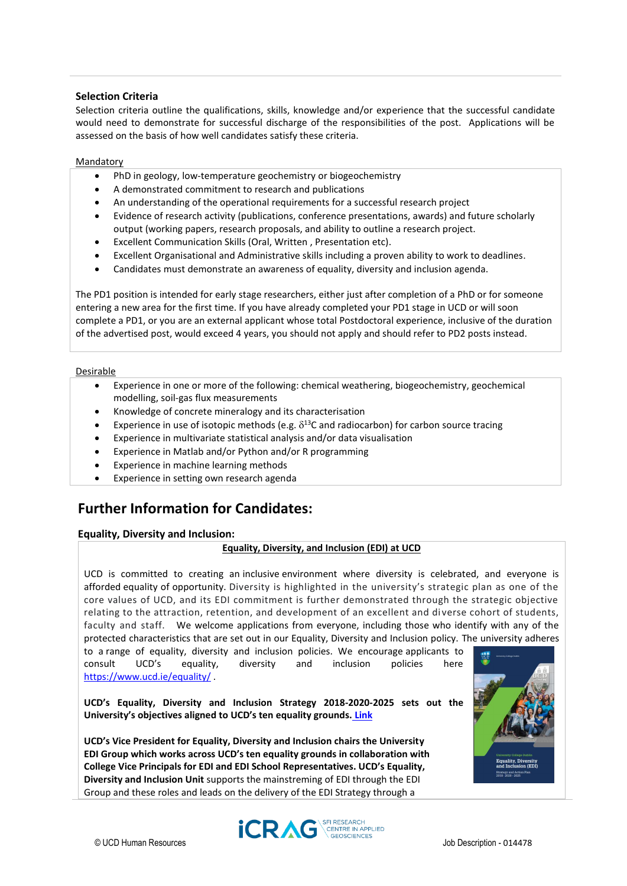## **Selection Criteria**

Selection criteria outline the qualifications, skills, knowledge and/or experience that the successful candidate would need to demonstrate for successful discharge of the responsibilities of the post. Applications will be assessed on the basis of how well candidates satisfy these criteria.

#### Mandatory

- PhD in geology, low-temperature geochemistry or biogeochemistry
- A demonstrated commitment to research and publications
- An understanding of the operational requirements for a successful research project
- Evidence of research activity (publications, conference presentations, awards) and future scholarly output (working papers, research proposals, and ability to outline a research project.
- Excellent Communication Skills (Oral, Written , Presentation etc).
- Excellent Organisational and Administrative skills including a proven ability to work to deadlines.
- Candidates must demonstrate an awareness of equality, diversity and inclusion agenda.

The PD1 position is intended for early stage researchers, either just after completion of a PhD or for someone entering a new area for the first time. If you have already completed your PD1 stage in UCD or will soon complete a PD1, or you are an external applicant whose total Postdoctoral experience, inclusive of the duration of the advertised post, would exceed 4 years, you should not apply and should refer to PD2 posts instead.

#### Desirable

- Experience in one or more of the following: chemical weathering, biogeochemistry, geochemical modelling, soil-gas flux measurements
- Knowledge of concrete mineralogy and its characterisation
- Experience in use of isotopic methods (e.g.  $\delta^{13}$ C and radiocarbon) for carbon source tracing
- Experience in multivariate statistical analysis and/or data visualisation
- Experience in Matlab and/or Python and/or R programming
- Experience in machine learning methods
- Experience in setting own research agenda

## **Further Information for Candidates:**

## **Equality, Diversity and Inclusion:**

## **Equality, Diversity, and Inclusion (EDI) at UCD**

UCD is committed to creating an inclusive environment where diversity is celebrated, and everyone is afforded equality of opportunity. Diversity is highlighted in the university's strategic plan as one of the core values of UCD, and its EDI commitment is further demonstrated through the strategic objective relating to the attraction, retention, and development of an excellent and diverse cohort of students, faculty and staff. We welcome applications from everyone, including those who identify with any of the protected characteristics that are set out in our Equality, Diversity and Inclusion policy. The university adheres

to a range of equality, diversity and inclusion policies. We encourage applicants to consult UCD's equality, diversity and inclusion policies here <https://www.ucd.ie/equality/> .

**UCD's Equality, Diversity and Inclusion Strategy 2018-2020-2025 sets out the University's objectives aligned to UCD's ten equality grounds. [Link](https://www.ucd.ie/equality/information/publications/)**

**UCD's Vice President for Equality, Diversity and Inclusion chairs the University EDI Group which works across UCD's ten equality grounds in collaboration with College Vice Principals for EDI and EDI School Representatives. UCD's Equality, Diversity and Inclusion Unit** supports the mainstreming of EDI through the EDI Group and these roles and leads on the delivery of the EDI Strategy through a



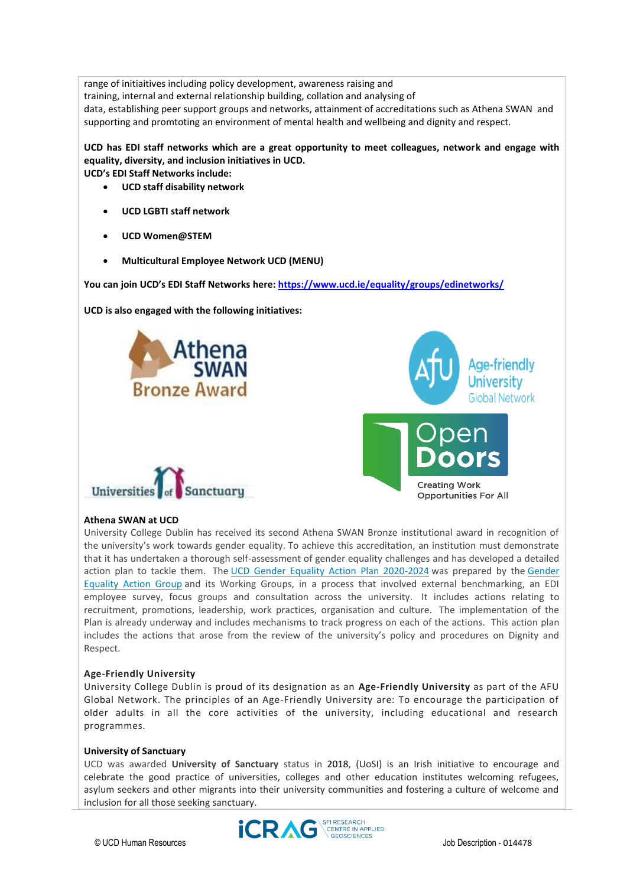range of initiaitives including policy development, awareness raising and training, internal and external relationship building, collation and analysing of data, establishing peer support groups and networks, attainment of accreditations such as Athena SWAN and supporting and promtoting an environment of mental health and wellbeing and dignity and respect.

**UCD has EDI staff networks which are a great opportunity to meet colleagues, network and engage with equality, diversity, and inclusion initiatives in UCD. UCD's EDI Staff Networks include:** 

• **UCD staff disability network**

- 
- **UCD LGBTI staff network**
- **UCD Women@STEM**
- **Multicultural Employee Network UCD (MENU)**

**You can join UCD's EDI Staff Networks here:<https://www.ucd.ie/equality/groups/edinetworks/>**

**UCD is also engaged with the following initiatives:** 







#### **Athena SWAN at UCD**

University College Dublin has received its second Athena SWAN Bronze institutional award in recognition of the university's work towards gender equality. To achieve this accreditation, an institution must demonstrate that it has undertaken a thorough self-assessment of gender equality challenges and has developed a detailed action plan to tackle them. The [UCD Gender Equality Action Plan 2020-2024](https://www.ucd.ie/equality/t4media/GenderEqualityActionPlan%20UCD%20Final%20Sept20.pdf) was prepared by the Gender [Equality Action Group](https://www.ucd.ie/equality/groups/genderequalityactiongroup/) and its Working Groups, in a process that involved external benchmarking, an EDI employee survey, focus groups and consultation across the university. It includes actions relating to recruitment, promotions, leadership, work practices, organisation and culture. The implementation of the Plan is already underway and includes mechanisms to track progress on each of the actions. This action plan includes the actions that arose from the review of the university's policy and procedures on Dignity and Respect.

#### **Age-Friendly University**

University College Dublin is proud of its designation as an **Age-Friendly University** as part of the AFU Global Network. The principles of an Age-Friendly University are: To encourage the participation of older adults in all the core activities of the university, including educational and research programmes.

#### **University of Sanctuary**

UCD was awarded **University of Sanctuary** status in 2018, (UoSI) is an Irish initiative to encourage and celebrate the good practice of universities, colleges and other education institutes welcoming refugees, asylum seekers and other migrants into their university communities and fostering a culture of welcome and inclusion for all those seeking sanctuary.

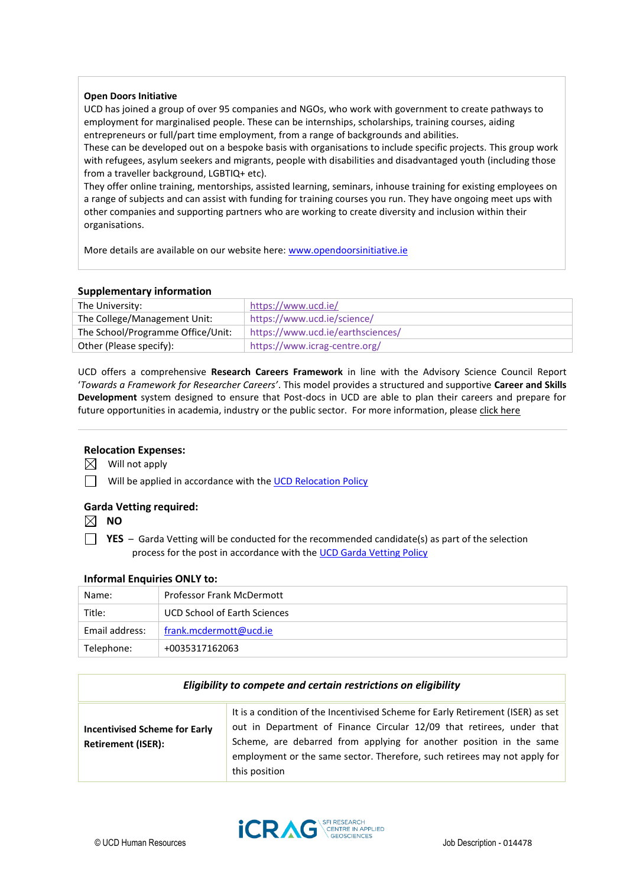#### **Open Doors Initiative**

UCD has joined a group of over 95 companies and NGOs, who work with government to create pathways to employment for marginalised people. These can be internships, scholarships, training courses, aiding entrepreneurs or full/part time employment, from a range of backgrounds and abilities.

These can be developed out on a bespoke basis with organisations to include specific projects. This group work with refugees, asylum seekers and migrants, people with disabilities and disadvantaged youth (including those from a traveller background, LGBTIQ+ etc).

They offer online training, mentorships, assisted learning, seminars, inhouse training for existing employees on a range of subjects and can assist with funding for training courses you run. They have ongoing meet ups with other companies and supporting partners who are working to create diversity and inclusion within their organisations.

More details are available on our website here: [www.opendoorsinitiative.ie](file:///C:/Users/markenny/AppData/Local/Microsoft/Windows/INetCache/Content.Outlook/6FOXTEGL/www.opendoorsinitiative.ie)

## **Supplementary information**

| The University:                   | https://www.ucd.ie/               |
|-----------------------------------|-----------------------------------|
| The College/Management Unit:      | https://www.ucd.ie/science/       |
| The School/Programme Office/Unit: | https://www.ucd.ie/earthsciences/ |
| Other (Please specify):           | https://www.icrag-centre.org/     |

UCD offers a comprehensive **Research Careers Framework** in line with the Advisory Science Council Report '*Towards a Framework for Researcher Careers'*. This model provides a structured and supportive **Career and Skills Development** system designed to ensure that Post-docs in UCD are able to plan their careers and prepare for future opportunities in academia, industry or the public sector. For more information, pleas[e click here](http://www.ucd.ie/researchcareers)

## **Relocation Expenses:**

 $\boxtimes$  Will not apply

 $\Box$  Will be applied in accordance with the [UCD Relocation Policy](https://sisweb.ucd.ie/usis/W_HU_REPORTING.P_DISPLAY_QUERY?p_query=GD120-1&p_parameters=4815FCE41733095E61BC26DB2595C0C00185006F3EB3EDBB97F96086D75BC103EEB440ABB021693D4A984773FC8C463E0D21D6FB0948F46F80EFDB24468DBC79B3EA8F0E9F5FB141D9CEEBE0F34351F11863163169174754C4BCFD8BA548B5FBA0A23C88283E01C90DBA2334B4CE21BA48AF5692DCB2E0DAF380E8CFB9285EC12B31A7F6EBD59E4BB45ECE63F67D58E4)

## **Garda Vetting required:**

 $\boxtimes$  NO

**YES** – Garda Vetting will be conducted for the recommended candidate(s) as part of the selection process for the post in accordance with th[e UCD Garda Vetting Policy](https://sisweb.ucd.ie/usis/W_HU_REPORTING.P_DISPLAY_QUERY?p_query=GD120-1&p_parameters=C6C2790305B562CC9528AF2459071C0E50585F14A4822BF9F72EAE3CCF7FBDABD2D58B134D189D45035200C11D9063207257A9C1E2C525DFD51BD4B4AE01041E77070794F8CF2BF289B7618CD3344CDE1DE888B3B4C339E33EC342D145309F3ED0820DA15DDC0E06DD7FFD64F264DA09484647EAE4D0219FB4273EE23488820AA5BD4B82D20A09CBA78E719FEAF8A785B79871AF0FF1DE640E08167E7C4BEC61337FB8F6E46C36648256BFA69939E168FB5B280309C0607BD7FDCD9818185CE9215D57995D47C44C2B4D0260483D4FDC752749031DFC23DE5978DC137246048B)

## **Informal Enquiries ONLY to:**

| Name:          | <b>Professor Frank McDermott</b>    |
|----------------|-------------------------------------|
| Title:         | <b>UCD School of Earth Sciences</b> |
| Email address: | frank.mcdermott@ucd.ie              |
| Telephone:     | +0035317162063                      |

| Eligibility to compete and certain restrictions on eligibility    |                                                                                                                                                                                                                                                                                                                               |
|-------------------------------------------------------------------|-------------------------------------------------------------------------------------------------------------------------------------------------------------------------------------------------------------------------------------------------------------------------------------------------------------------------------|
| <b>Incentivised Scheme for Early</b><br><b>Retirement (ISER):</b> | It is a condition of the Incentivised Scheme for Early Retirement (ISER) as set<br>out in Department of Finance Circular 12/09 that retirees, under that<br>Scheme, are debarred from applying for another position in the same<br>employment or the same sector. Therefore, such retirees may not apply for<br>this position |

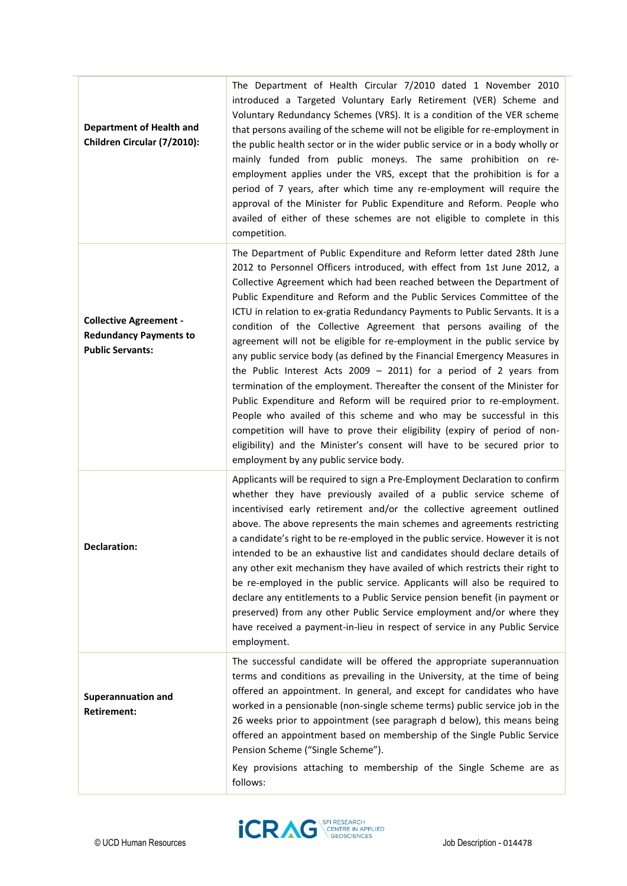| <b>Department of Health and</b><br>Children Circular (7/2010):                            | The Department of Health Circular 7/2010 dated 1 November 2010<br>introduced a Targeted Voluntary Early Retirement (VER) Scheme and<br>Voluntary Redundancy Schemes (VRS). It is a condition of the VER scheme<br>that persons availing of the scheme will not be eligible for re-employment in<br>the public health sector or in the wider public service or in a body wholly or<br>mainly funded from public moneys. The same prohibition on re-<br>employment applies under the VRS, except that the prohibition is for a<br>period of 7 years, after which time any re-employment will require the<br>approval of the Minister for Public Expenditure and Reform. People who<br>availed of either of these schemes are not eligible to complete in this<br>competition.                                                                                                                                                                                                                                                                                                                                                     |
|-------------------------------------------------------------------------------------------|---------------------------------------------------------------------------------------------------------------------------------------------------------------------------------------------------------------------------------------------------------------------------------------------------------------------------------------------------------------------------------------------------------------------------------------------------------------------------------------------------------------------------------------------------------------------------------------------------------------------------------------------------------------------------------------------------------------------------------------------------------------------------------------------------------------------------------------------------------------------------------------------------------------------------------------------------------------------------------------------------------------------------------------------------------------------------------------------------------------------------------|
| <b>Collective Agreement -</b><br><b>Redundancy Payments to</b><br><b>Public Servants:</b> | The Department of Public Expenditure and Reform letter dated 28th June<br>2012 to Personnel Officers introduced, with effect from 1st June 2012, a<br>Collective Agreement which had been reached between the Department of<br>Public Expenditure and Reform and the Public Services Committee of the<br>ICTU in relation to ex-gratia Redundancy Payments to Public Servants. It is a<br>condition of the Collective Agreement that persons availing of the<br>agreement will not be eligible for re-employment in the public service by<br>any public service body (as defined by the Financial Emergency Measures in<br>the Public Interest Acts 2009 - 2011) for a period of 2 years from<br>termination of the employment. Thereafter the consent of the Minister for<br>Public Expenditure and Reform will be required prior to re-employment.<br>People who availed of this scheme and who may be successful in this<br>competition will have to prove their eligibility (expiry of period of non-<br>eligibility) and the Minister's consent will have to be secured prior to<br>employment by any public service body. |
| <b>Declaration:</b>                                                                       | Applicants will be required to sign a Pre-Employment Declaration to confirm<br>whether they have previously availed of a public service scheme of<br>incentivised early retirement and/or the collective agreement outlined<br>above. The above represents the main schemes and agreements restricting<br>a candidate's right to be re-employed in the public service. However it is not<br>intended to be an exhaustive list and candidates should declare details of<br>any other exit mechanism they have availed of which restricts their right to<br>be re-employed in the public service. Applicants will also be required to<br>declare any entitlements to a Public Service pension benefit (in payment or<br>preserved) from any other Public Service employment and/or where they<br>have received a payment-in-lieu in respect of service in any Public Service<br>employment.                                                                                                                                                                                                                                       |
| <b>Superannuation and</b><br><b>Retirement:</b>                                           | The successful candidate will be offered the appropriate superannuation<br>terms and conditions as prevailing in the University, at the time of being<br>offered an appointment. In general, and except for candidates who have<br>worked in a pensionable (non-single scheme terms) public service job in the<br>26 weeks prior to appointment (see paragraph d below), this means being<br>offered an appointment based on membership of the Single Public Service<br>Pension Scheme ("Single Scheme").<br>Key provisions attaching to membership of the Single Scheme are as<br>follows:                                                                                                                                                                                                                                                                                                                                                                                                                                                                                                                                     |